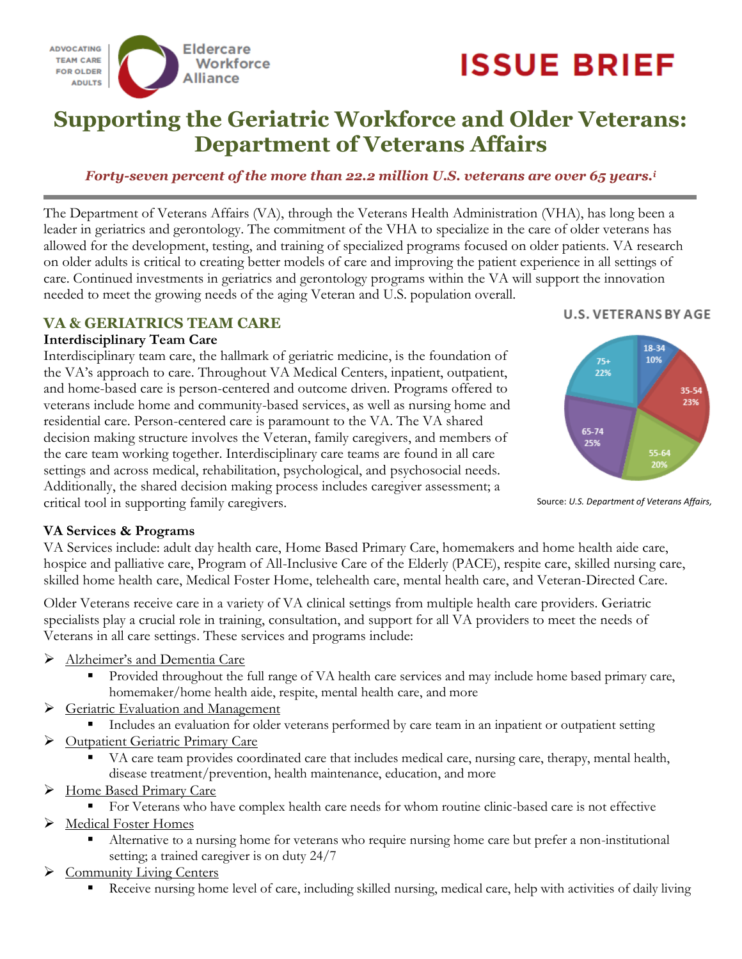

# **ISSUE BRIEF**

## **Supporting the Geriatric Workforce and Older Veterans: Department of Veterans Affairs**

#### *Forty-seven percent of the more than 22.2 million U.S. veterans are over 65 years.<sup>i</sup>*

The Department of Veterans Affairs (VA), through the Veterans Health Administration (VHA), has long been a leader in geriatrics and gerontology. The commitment of the VHA to specialize in the care of older veterans has allowed for the development, testing, and training of specialized programs focused on older patients. VA research on older adults is critical to creating better models of care and improving the patient experience in all settings of care. Continued investments in geriatrics and gerontology programs within the VA will support the innovation needed to meet the growing needs of the aging Veteran and U.S. population overall.

#### **VA & GERIATRICS TEAM CARE**

#### **Interdisciplinary Team Care**

Interdisciplinary team care, the hallmark of geriatric medicine, is the foundation of the VA's approach to care. Throughout VA Medical Centers, inpatient, outpatient, and home-based care is person-centered and outcome driven. Programs offered to veterans include home and community-based services, as well as nursing home and residential care. Person-centered care is paramount to the VA. The VA shared decision making structure involves the Veteran, family caregivers, and members of the care team working together. Interdisciplinary care teams are found in all care settings and across medical, rehabilitation, psychological, and psychosocial needs. Additionally, the shared decision making process includes caregiver assessment; a critical tool in supporting family caregivers.

#### **U.S. VETERANS BY AGE**



Source: *U.S. Department of Veterans Affairs,* 

#### **VA Services & Programs**

VA Services include: adult day health care, Home Based Primary Care, homemakers and home health aide care, hospice and palliative care, Program of All-Inclusive Care of the Elderly (PACE), respite care, skilled nursing care, skilled home health care, Medical Foster Home, telehealth care, mental health care, and Veteran-Directed Care.

Older Veterans receive care in a variety of VA clinical settings from multiple health care providers. Geriatric specialists play a crucial role in training, consultation, and support for all VA providers to meet the needs of Veterans in all care settings. These services and programs include:

- > Alzheimer's and Dementia Care
	- Provided throughout the full range of VA health care services and may include home based primary care, homemaker/home health aide, respite, mental health care, and more
- Seriatric Evaluation and Management
	- Includes an evaluation for older veterans performed by care team in an inpatient or outpatient setting
- **Example 3 Outpatient Geriatric Primary Care** 
	- VA care team provides coordinated care that includes medical care, nursing care, therapy, mental health, disease treatment/prevention, health maintenance, education, and more
- > Home Based Primary Care
	- For Veterans who have complex health care needs for whom routine clinic-based care is not effective
- Medical Foster Homes
	- Alternative to a nursing home for veterans who require nursing home care but prefer a non-institutional setting; a trained caregiver is on duty 24/7
- ▶ Community Living Centers
	- Receive nursing home level of care, including skilled nursing, medical care, help with activities of daily living